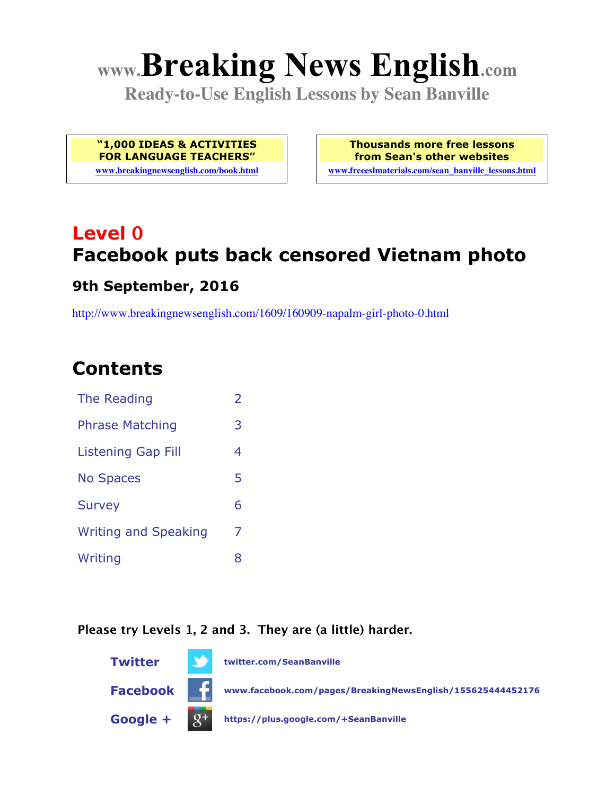# **www.Breaking News English.com**

**Ready-to-Use English Lessons by Sean Banville**

**"1,000 IDEAS & ACTIVITIES FOR LANGUAGE TEACHERS"**

**www.breakingnewsenglish.com/book.html**

**Thousands more free lessons from Sean's other websites www.freeeslmaterials.com/sean\_banville\_lessons.html**

# **Level 0 Facebook puts back censored Vietnam photo**

#### **9th September, 2016**

http://www.breakingnewsenglish.com/1609/160909-napalm-girl-photo-0.html

### **Contents**

| The Reading                 | $\overline{\phantom{a}}$ |
|-----------------------------|--------------------------|
| <b>Phrase Matching</b>      | 3                        |
| Listening Gap Fill          | 4                        |
| <b>No Spaces</b>            | 5                        |
| <b>Survey</b>               | 6                        |
| <b>Writing and Speaking</b> | 7                        |
| Writing                     | 8                        |

#### **Please try Levels 1, 2 and 3. They are (a little) harder.**

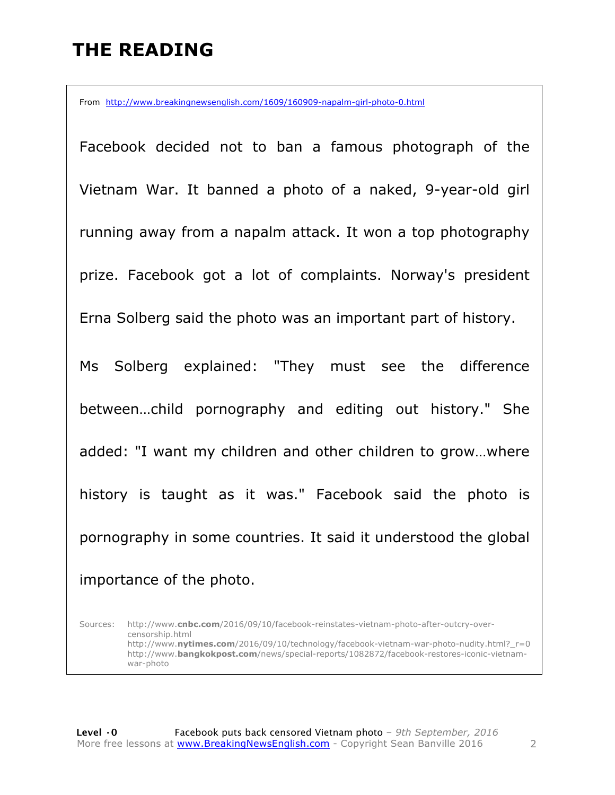### **THE READING**

From http://www.breakingnewsenglish.com/1609/160909-napalm-girl-photo-0.html

Facebook decided not to ban a famous photograph of the Vietnam War. It banned a photo of a naked, 9-year-old girl running away from a napalm attack. It won a top photography prize. Facebook got a lot of complaints. Norway's president Erna Solberg said the photo was an important part of history. Ms Solberg explained: "They must see the difference between…child pornography and editing out history." She added: "I want my children and other children to grow…where history is taught as it was." Facebook said the photo is pornography in some countries. It said it understood the global importance of the photo.

Sources: http://www.**cnbc.com**/2016/09/10/facebook-reinstates-vietnam-photo-after-outcry-overcensorship.html http://www.**nytimes.com**/2016/09/10/technology/facebook-vietnam-war-photo-nudity.html?\_r=0 http://www.**bangkokpost.com**/news/special-reports/1082872/facebook-restores-iconic-vietnamwar-photo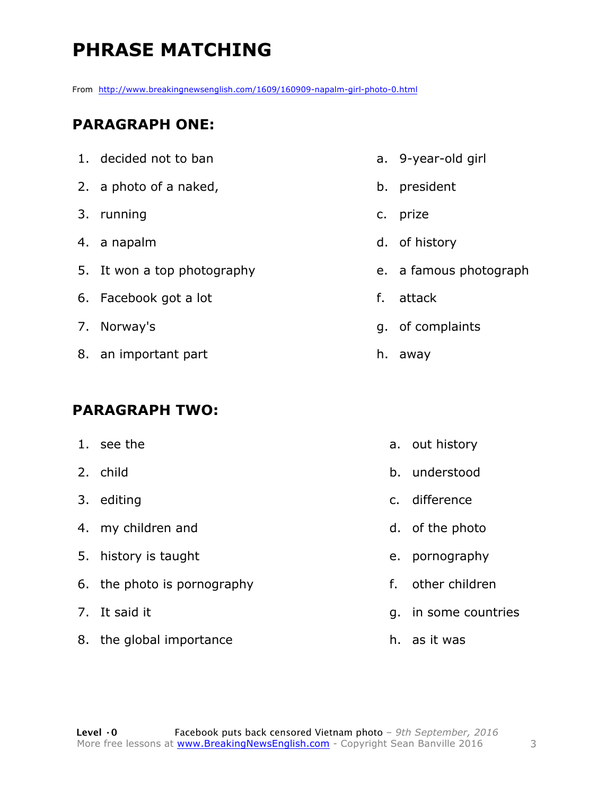## **PHRASE MATCHING**

From http://www.breakingnewsenglish.com/1609/160909-napalm-girl-photo-0.html

#### **PARAGRAPH ONE:**

- 1. decided not to ban
- 2. a photo of a naked,
- 3. running
- 4. a napalm
- 5. It won a top photography
- 6. Facebook got a lot
- 7. Norway's
- 8. an important part

#### **PARAGRAPH TWO:**

- 1. see the
- 2. child
- 3. editing
- 4. my children and
- 5. history is taught
- 6. the photo is pornography
- 7. It said it
- 8. the global importance
- a. 9-year-old girl
- b. president
- c. prize
- d. of history
- e. a famous photograph
- f. attack
- g. of complaints
- h. away
	- a. out history
	- b. understood
	- c. difference
	- d. of the photo
	- e. pornography
	- f. other children
	- g. in some countries
	- h. as it was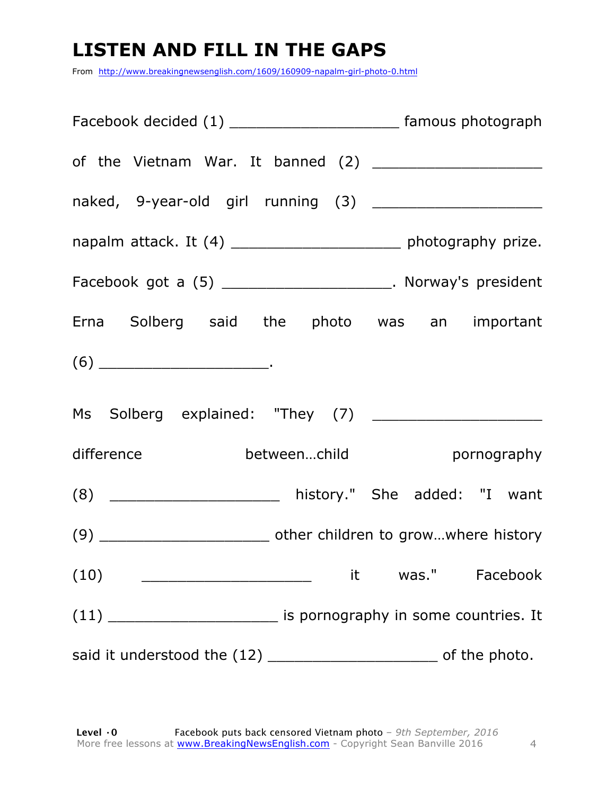### **LISTEN AND FILL IN THE GAPS**

From http://www.breakingnewsenglish.com/1609/160909-napalm-girl-photo-0.html

| Facebook decided (1) ___________________________ famous photograph                                                                                                                                                                                                                                                                                                                                         |                   |
|------------------------------------------------------------------------------------------------------------------------------------------------------------------------------------------------------------------------------------------------------------------------------------------------------------------------------------------------------------------------------------------------------------|-------------------|
|                                                                                                                                                                                                                                                                                                                                                                                                            |                   |
|                                                                                                                                                                                                                                                                                                                                                                                                            |                   |
| napalm attack. It (4) _______________________ photography prize.                                                                                                                                                                                                                                                                                                                                           |                   |
| Facebook got a (5) _______________________. Norway's president                                                                                                                                                                                                                                                                                                                                             |                   |
| Erna Solberg said the photo was an important                                                                                                                                                                                                                                                                                                                                                               |                   |
| $(6) \begin{tabular}{l} \hline \rule[1ex]{1ex}{1ex} \rule[1ex]{1ex}{1ex} \rule[1ex]{1ex}{1ex} \rule[1ex]{1ex}{1ex} \rule[1ex]{1ex}{1ex} \rule[1ex]{1ex}{1ex} \rule[1ex]{1ex}{1ex} \rule[1ex]{1ex}{1ex} \rule[1ex]{1ex}{1ex} \rule[1ex]{1ex}{1ex} \rule[1ex]{1ex}{1ex} \rule[1ex]{1ex}{1ex} \rule[1ex]{1ex}{1ex} \rule[1ex]{1ex}{1ex} \rule[1ex]{1ex}{1ex} \rule[1ex]{1ex}{1ex} \rule[1ex]{1ex}{1ex} \rule$ |                   |
|                                                                                                                                                                                                                                                                                                                                                                                                            |                   |
| betweenchild betweenchild pornography<br>difference                                                                                                                                                                                                                                                                                                                                                        |                   |
| (8) _______________________ history." She added: "I want                                                                                                                                                                                                                                                                                                                                                   |                   |
|                                                                                                                                                                                                                                                                                                                                                                                                            |                   |
| (10)<br><u> 1989 - Jan James James Barnett, fizik eta idazlear (</u>                                                                                                                                                                                                                                                                                                                                       | it was." Facebook |
| $(11)$ _____________________________ is pornography in some countries. It                                                                                                                                                                                                                                                                                                                                  |                   |
|                                                                                                                                                                                                                                                                                                                                                                                                            |                   |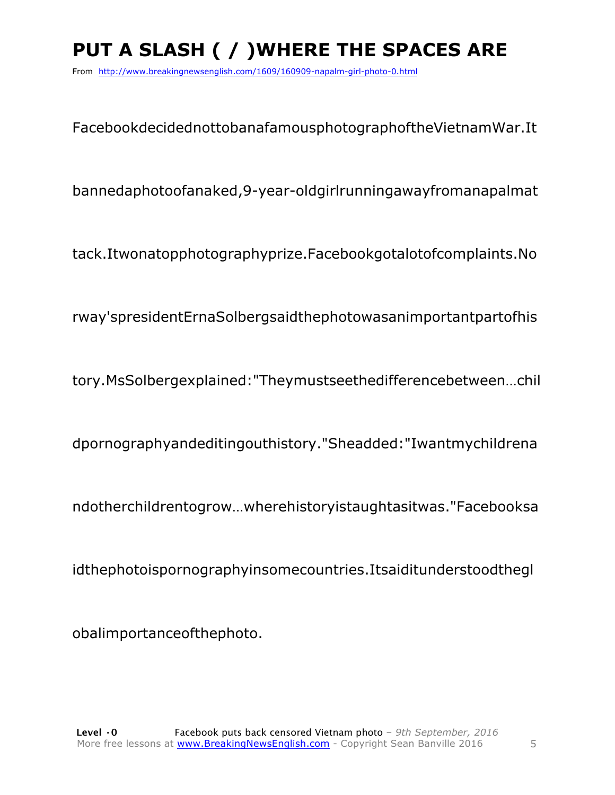# **PUT A SLASH ( / )WHERE THE SPACES ARE**

From http://www.breakingnewsenglish.com/1609/160909-napalm-girl-photo-0.html

FacebookdecidednottobanafamousphotographoftheVietnamWar.It

bannedaphotoofanaked,9-year-oldgirlrunningawayfromanapalmat

tack.Itwonatopphotographyprize.Facebookgotalotofcomplaints.No

rway'spresidentErnaSolbergsaidthephotowasanimportantpartofhis

tory.MsSolbergexplained:"Theymustseethedifferencebetween…chil

dpornographyandeditingouthistory."Sheadded:"Iwantmychildrena

ndotherchildrentogrow…wherehistoryistaughtasitwas."Facebooksa

idthephotoispornographyinsomecountries.Itsaiditunderstoodthegl

obalimportanceofthephoto.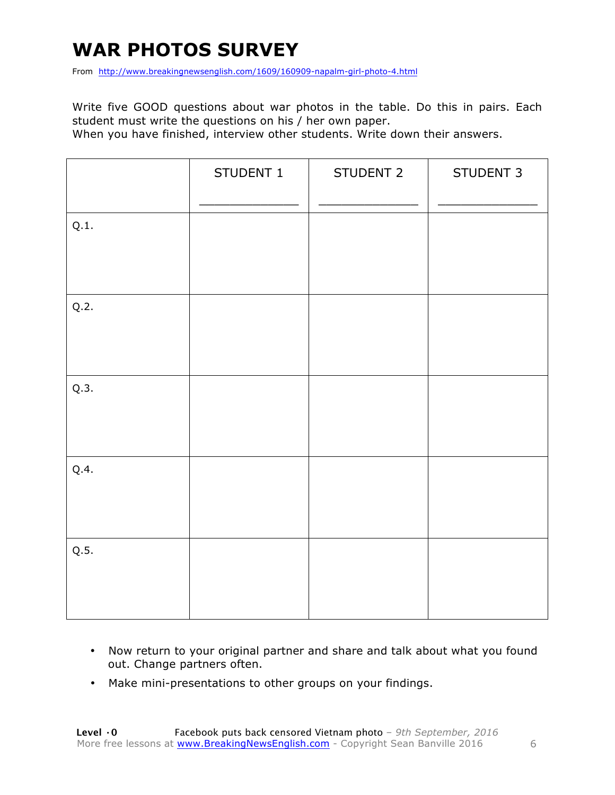### **WAR PHOTOS SURVEY**

From http://www.breakingnewsenglish.com/1609/160909-napalm-girl-photo-4.html

Write five GOOD questions about war photos in the table. Do this in pairs. Each student must write the questions on his / her own paper.

When you have finished, interview other students. Write down their answers.

|      | STUDENT 1 | STUDENT 2 | STUDENT 3 |
|------|-----------|-----------|-----------|
| Q.1. |           |           |           |
| Q.2. |           |           |           |
| Q.3. |           |           |           |
| Q.4. |           |           |           |
| Q.5. |           |           |           |

- Now return to your original partner and share and talk about what you found out. Change partners often.
- Make mini-presentations to other groups on your findings.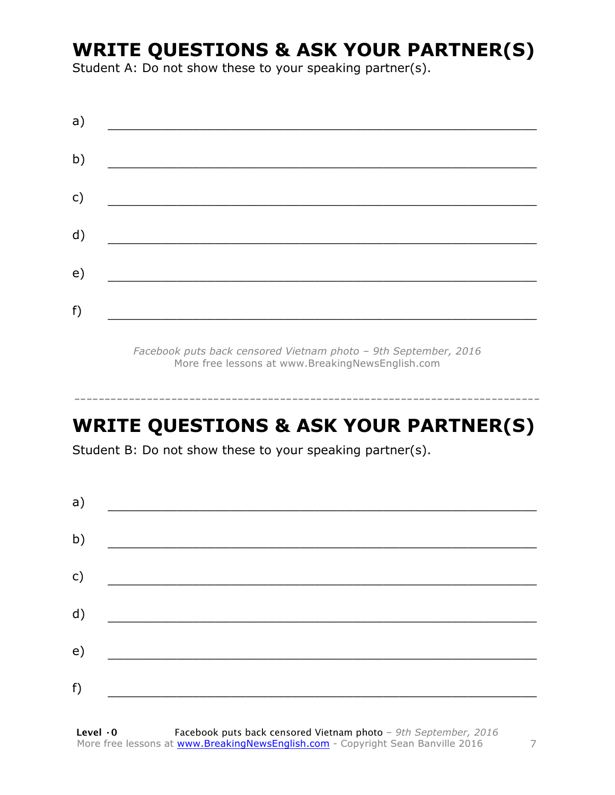### **WRITE QUESTIONS & ASK YOUR PARTNER(S)**

Student A: Do not show these to your speaking partner(s).

| a) |  |  |
|----|--|--|
| b) |  |  |
| c) |  |  |
| d) |  |  |
| e) |  |  |
| f) |  |  |
|    |  |  |

*Facebook puts back censored Vietnam photo – 9th September, 2016* More free lessons at www.BreakingNewsEnglish.com

### **WRITE QUESTIONS & ASK YOUR PARTNER(S)**

-----------------------------------------------------------------------------

Student B: Do not show these to your speaking partner(s).

| a) |  |  |
|----|--|--|
| b) |  |  |
| c) |  |  |
| d) |  |  |
| e) |  |  |
| f) |  |  |
|    |  |  |